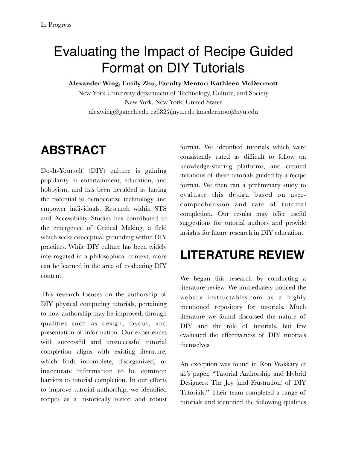## Evaluating the Impact of Recipe Guided Format on DIY Tutorials

**Alexander Wing, Emily Zhu, Faculty Mentor: Kathleen McDermott** 

New York University department of Technology, Culture, and Society New York, New York, United States [alexwing@gatech.edu](mailto:alexwing@gatech.edu) [ez682@nyu.edu](mailto:ez682@nyu.edu) [kmcdermott@nyu.edu](mailto:kmcdermott@nyu.edu)

### **ABSTRACT**

Do-It-Yourself (DIY) culture is gaining popularity in entertainment, education, and hobbyism, and has been heralded as having the potential to democratize technology and empower individuals. Research within STS and Accessibility Studies has contributed to the emergence of Critical Making, a field which seeks conceptual grounding within DIY practices. While DIY culture has been widely interrogated in a philosophical context, more can be learned in the area of evaluating DIY content.

This research focuses on the authorship of DIY physical computing tutorials, pertaining to how authorship may be improved, through qualities such as design, layout, and presentation of information. Our experiences with successful and unsuccessful tutorial completion aligns with existing literature, which finds incomplete, disorganized, or inaccurate information to be common barriers to tutorial completion. In our efforts to improve tutorial authorship, we identified recipes as a historically tested and robust

format. We identified tutorials which were consistently rated as difficult to follow on knowledge-sharing platforms, and created iterations of these tutorials guided by a recipe format. We then ran a preliminary study to evaluate this design based on usercomprehension and rate of tutorial completion. Our results may offer useful suggestions for tutorial authors and provide insights for future research in DIY education.

### **LITERATURE REVIEW**

We began this research by conducting a literature review. We immediately noticed the website [instructables.com](http://instructables.com) as a highly mentioned repository for tutorials. Much literature we found discussed the nature of DIY and the role of tutorials, but few evaluated the effectiveness of DIY tutorials themselves.

An exception was found in Ron Wakkary et al.'s paper, "Tutorial Authorship and Hybrid Designers: The Joy (and Frustration) of DIY Tutorials." Their team completed a range of tutorials and identified the following qualities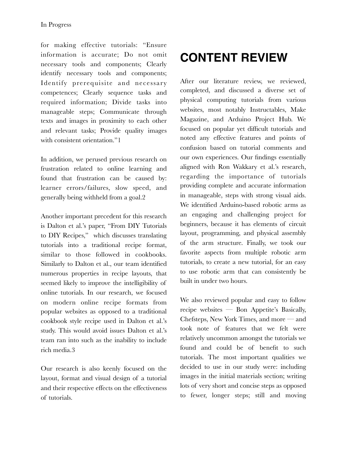for making effective tutorials: "Ensure information is accurate; Do not omit necessary tools and components; Clearly identify necessary tools and components; Identify prerequisite and necessary competences; Clearly sequence tasks and required information; Divide tasks into manageable steps; Communicate through texts and images in proximity to each other and relevant tasks; Provide quality images with consistent orientation."1

In addition, we perused previous research on frustration related to online learning and found that frustration can be caused by: learner errors/failures, slow speed, and generally being withheld from a goal.2

Another important precedent for this research is Dalton et al.'s paper, "From DIY Tutorials to DIY Recipes," which discusses translating tutorials into a traditional recipe format, similar to those followed in cookbooks. Similarly to Dalton et al., our team identified numerous properties in recipe layouts, that seemed likely to improve the intelligibility of online tutorials. In our research, we focused on modern online recipe formats from popular websites as opposed to a traditional cookbook style recipe used in Dalton et al.'s study. This would avoid issues Dalton et al.'s team ran into such as the inability to include rich media.3

Our research is also keenly focused on the layout, format and visual design of a tutorial and their respective effects on the effectiveness of tutorials.

# **CONTENT REVIEW**

After our literature review, we reviewed, completed, and discussed a diverse set of physical computing tutorials from various websites, most notably Instructables, Make Magazine, and Arduino Project Hub. We focused on popular yet difficult tutorials and noted any effective features and points of confusion based on tutorial comments and our own experiences. Our findings essentially aligned with Ron Wakkary et al.'s research, regarding the importance of tutorials providing complete and accurate information in manageable, steps with strong visual aids. We identified Arduino-based robotic arms as an engaging and challenging project for beginners, because it has elements of circuit layout, programming, and physical assembly of the arm structure. Finally, we took our favorite aspects from multiple robotic arm tutorials, to create a new tutorial, for an easy to use robotic arm that can consistently be built in under two hours.

We also reviewed popular and easy to follow recipe websites — Bon Appetite's Basically, Chefsteps, New York Times, and more — and took note of features that we felt were relatively uncommon amongst the tutorials we found and could be of benefit to such tutorials. The most important qualities we decided to use in our study were: including images in the initial materials section; writing lots of very short and concise steps as opposed to fewer, longer steps; still and moving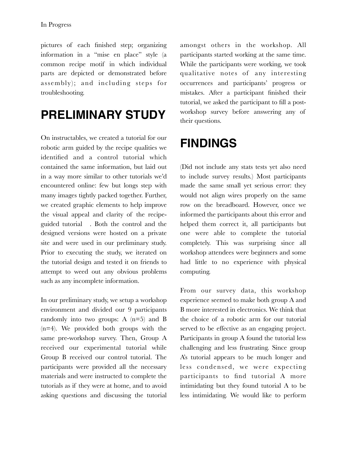pictures of each finished step; organizing information in a "mise en place" style (a common recipe motif in which individual parts are depicted or demonstrated before assembly); and including steps for troubleshooting.

#### **PRELIMINARY STUDY**

On instructables, we created a tutorial for our robotic arm guided by the recipe qualities we identified and a control tutorial which contained the same information, but laid out in a way more similar to other tutorials we'd encountered online: few but longs step with many images tightly packed together. Further, we created graphic elements to help improve the visual appeal and clarity of the recipeguided tutorial . Both the control and the designed versions were hosted on a private site and were used in our preliminary study. Prior to executing the study, we iterated on the tutorial design and tested it on friends to attempt to weed out any obvious problems such as any incomplete information.

In our preliminary study, we setup a workshop environment and divided our 9 participants randomly into two groups: A  $(n=5)$  and B (n=4). We provided both groups with the same pre-workshop survey. Then, Group A received our experimental tutorial while Group B received our control tutorial. The participants were provided all the necessary materials and were instructed to complete the tutorials as if they were at home, and to avoid asking questions and discussing the tutorial amongst others in the workshop. All participants started working at the same time. While the participants were working, we took qualitative notes of any interesting occurrences and participants' progress or mistakes. After a participant finished their tutorial, we asked the participant to fill a postworkshop survey before answering any of their questions.

#### **FINDINGS**

(Did not include any stats tests yet also need to include survey results.) Most participants made the same small yet serious error: they would not align wires properly on the same row on the breadboard. However, once we informed the participants about this error and helped them correct it, all participants but one were able to complete the tutorial completely. This was surprising since all workshop attendees were beginners and some had little to no experience with physical computing.

From our survey data, this workshop experience seemed to make both group A and B more interested in electronics. We think that the choice of a robotic arm for our tutorial served to be effective as an engaging project. Participants in group A found the tutorial less challenging and less frustrating. Since group A's tutorial appears to be much longer and less condensed, we were expecting participants to find tutorial A more intimidating but they found tutorial A to be less intimidating. We would like to perform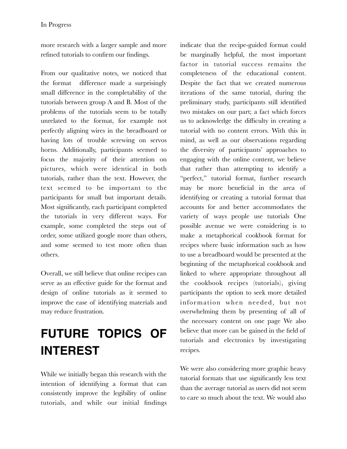more research with a larger sample and more refined tutorials to confirm our findings.

From our qualitative notes, we noticed that the format difference made a surprisingly small difference in the completability of the tutorials between group A and B. Most of the problems of the tutorials seem to be totally unrelated to the format, for example not perfectly aligning wires in the breadboard or having lots of trouble screwing on servos horns. Additionally, participants seemed to focus the majority of their attention on pictures, which were identical in both tutorials, rather than the text. However, the text seemed to be important to the participants for small but important details. Most significantly, each participant completed the tutorials in very different ways. For example, some completed the steps out of order, some utilized google more than others, and some seemed to test more often than others.

Overall, we still believe that online recipes can serve as an effective guide for the format and design of online tutorials as it seemed to improve the ease of identifying materials and may reduce frustration.

## **FUTURE TOPICS OF INTEREST**

While we initially began this research with the intention of identifying a format that can consistently improve the legibility of online tutorials, and while our initial findings indicate that the recipe-guided format could be marginally helpful, the most important factor in tutorial success remains the completeness of the educational content. Despite the fact that we created numerous iterations of the same tutorial, during the preliminary study, participants still identified two mistakes on our part; a fact which forces us to acknowledge the difficulty in creating a tutorial with no content errors. With this in mind, as well as our observations regarding the diversity of participants' approaches to engaging with the online content, we believe that rather than attempting to identify a "perfect," tutorial format, further research may be more beneficial in the area of identifying or creating a tutorial format that accounts for and better accommodates the variety of ways people use tutorials One possible avenue we were considering is to make a metaphorical cookbook format for recipes where basic information such as how to use a breadboard would be presented at the beginning of the metaphorical cookbook and linked to where appropriate throughout all the cookbook recipes (tutorials), giving participants the option to seek more detailed information when needed, but not overwhelming them by presenting of all of the necessary content on one page We also believe that more can be gained in the field of tutorials and electronics by investigating recipes.

We were also considering more graphic heavy tutorial formats that use significantly less text than the average tutorial as users did not seem to care so much about the text. We would also